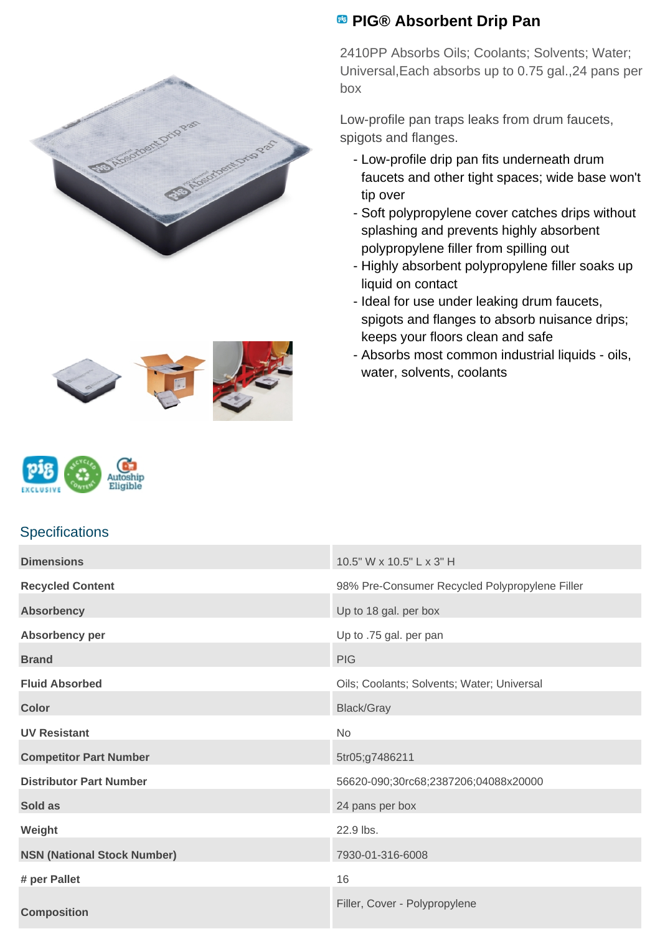





## **Specifications**

## **Dimensions** 10.5" W x 10.5" L x 3" H Recycled Content **Recycled Content Recycled Polypropylene Filler** 98% Pre-Consumer Recycled Polypropylene Filler **Absorbency** Up to 18 gal. per box **Absorbency per** Up to .75 gal. per pan **Brand** PIG **PIG Fluid Absorbed Fluid Absorbed City Coolants**; Coolants; Solvents; Water; Universal **Color** Black/Gray **UV Resistant** No **Competitor Part Number** 5tr05;g7486211 **Distributor Part Number** 56620-090;30rc68;2387206;04088x20000 **Sold as** 24 pans per box **Weight** 22.9 lbs. **NSN (National Stock Number)** 7930-01-316-6008 **# per Pallet** 16 **Composition** Filler, Cover - Polypropylene

## **PIG® Absorbent Drip Pan**

2410PP Absorbs Oils; Coolants; Solvents; Water; Universal,Each absorbs up to 0.75 gal.,24 pans per box

Low-profile pan traps leaks from drum faucets, spigots and flanges.

- Low-profile drip pan fits underneath drum faucets and other tight spaces; wide base won't tip over
- Soft polypropylene cover catches drips without splashing and prevents highly absorbent polypropylene filler from spilling out
- Highly absorbent polypropylene filler soaks up liquid on contact
- Ideal for use under leaking drum faucets, spigots and flanges to absorb nuisance drips; keeps your floors clean and safe
- Absorbs most common industrial liquids oils, water, solvents, coolants